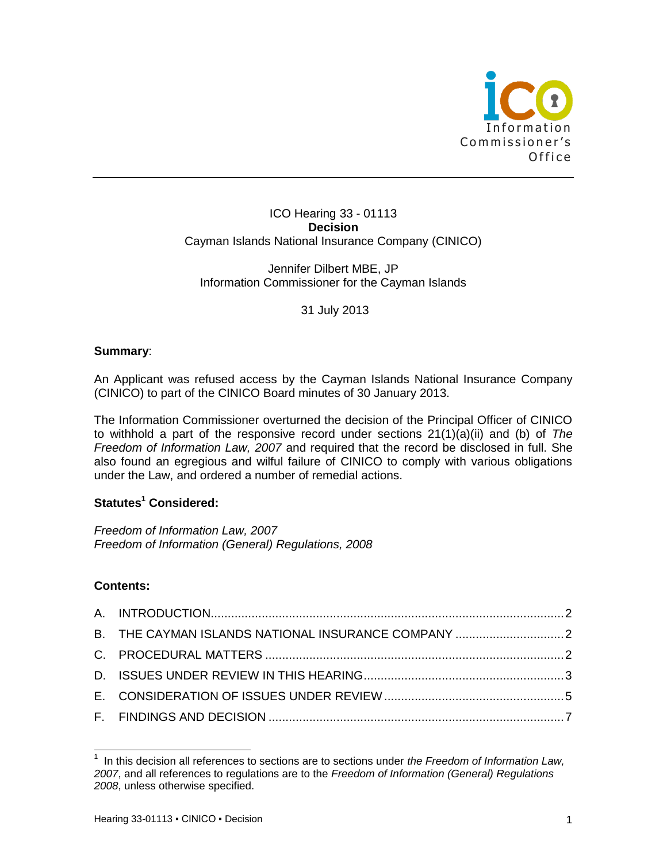

#### ICO Hearing 33 - 01113 **Decision** Cayman Islands National Insurance Company (CINICO)

Jennifer Dilbert MBE, JP Information Commissioner for the Cayman Islands

31 July 2013

## **Summary**:

An Applicant was refused access by the Cayman Islands National Insurance Company (CINICO) to part of the CINICO Board minutes of 30 January 2013.

The Information Commissioner overturned the decision of the Principal Officer of CINICO to withhold a part of the responsive record under sections 21(1)(a)(ii) and (b) of *The Freedom of Information Law, 2007* and required that the record be disclosed in full. She also found an egregious and wilful failure of CINICO to comply with various obligations under the Law, and ordered a number of remedial actions.

# **Statutes<sup>1</sup> Considered:**

*Freedom of Information Law, 2007 Freedom of Information (General) Regulations, 2008*

# **Contents:**

 $\overline{a}$ 

| B. THE CAYMAN ISLANDS NATIONAL INSURANCE COMPANY  2 |
|-----------------------------------------------------|
|                                                     |
|                                                     |
|                                                     |
|                                                     |
|                                                     |

<sup>1</sup> In this decision all references to sections are to sections under *the Freedom of Information Law, 2007*, and all references to regulations are to the *Freedom of Information (General) Regulations 2008*, unless otherwise specified.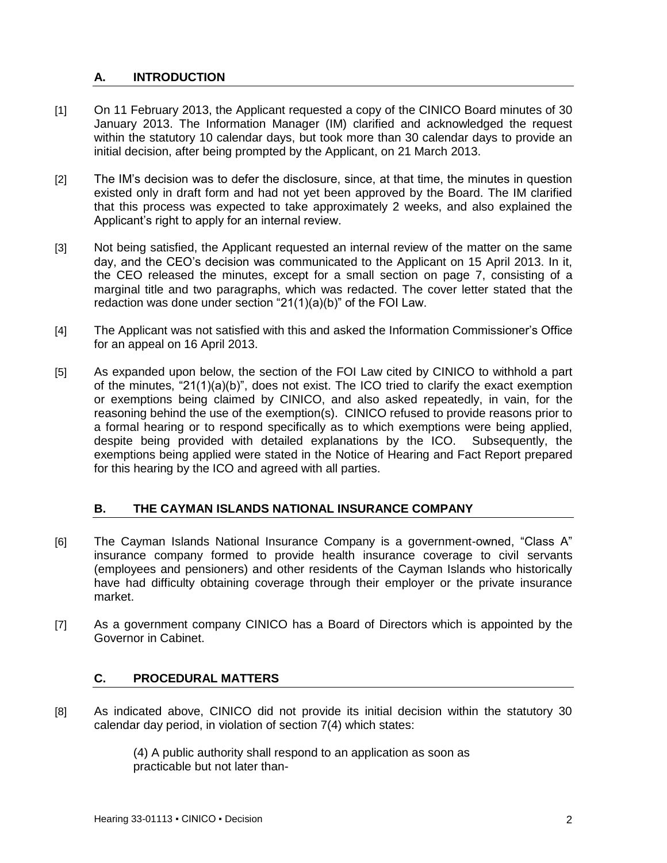# <span id="page-1-0"></span>**A. INTRODUCTION**

- [1] On 11 February 2013, the Applicant requested a copy of the CINICO Board minutes of 30 January 2013. The Information Manager (IM) clarified and acknowledged the request within the statutory 10 calendar days, but took more than 30 calendar days to provide an initial decision, after being prompted by the Applicant, on 21 March 2013.
- [2] The IM's decision was to defer the disclosure, since, at that time, the minutes in question existed only in draft form and had not yet been approved by the Board. The IM clarified that this process was expected to take approximately 2 weeks, and also explained the Applicant's right to apply for an internal review.
- [3] Not being satisfied, the Applicant requested an internal review of the matter on the same day, and the CEO's decision was communicated to the Applicant on 15 April 2013. In it, the CEO released the minutes, except for a small section on page 7, consisting of a marginal title and two paragraphs, which was redacted. The cover letter stated that the redaction was done under section "21(1)(a)(b)" of the FOI Law.
- [4] The Applicant was not satisfied with this and asked the Information Commissioner's Office for an appeal on 16 April 2013.
- [5] As expanded upon below, the section of the FOI Law cited by CINICO to withhold a part of the minutes, "21(1)(a)(b)", does not exist. The ICO tried to clarify the exact exemption or exemptions being claimed by CINICO, and also asked repeatedly, in vain, for the reasoning behind the use of the exemption(s). CINICO refused to provide reasons prior to a formal hearing or to respond specifically as to which exemptions were being applied, despite being provided with detailed explanations by the ICO. Subsequently, the exemptions being applied were stated in the Notice of Hearing and Fact Report prepared for this hearing by the ICO and agreed with all parties.

# <span id="page-1-1"></span>**B. THE CAYMAN ISLANDS NATIONAL INSURANCE COMPANY**

- [6] The Cayman Islands National Insurance Company is a government-owned, "Class A" insurance company formed to provide health insurance coverage to civil servants (employees and pensioners) and other residents of the Cayman Islands who historically have had difficulty obtaining coverage through their employer or the private insurance market.
- [7] As a government company CINICO has a Board of Directors which is appointed by the Governor in Cabinet.

# <span id="page-1-2"></span>**C. PROCEDURAL MATTERS**

[8] As indicated above, CINICO did not provide its initial decision within the statutory 30 calendar day period, in violation of section 7(4) which states:

> (4) A public authority shall respond to an application as soon as practicable but not later than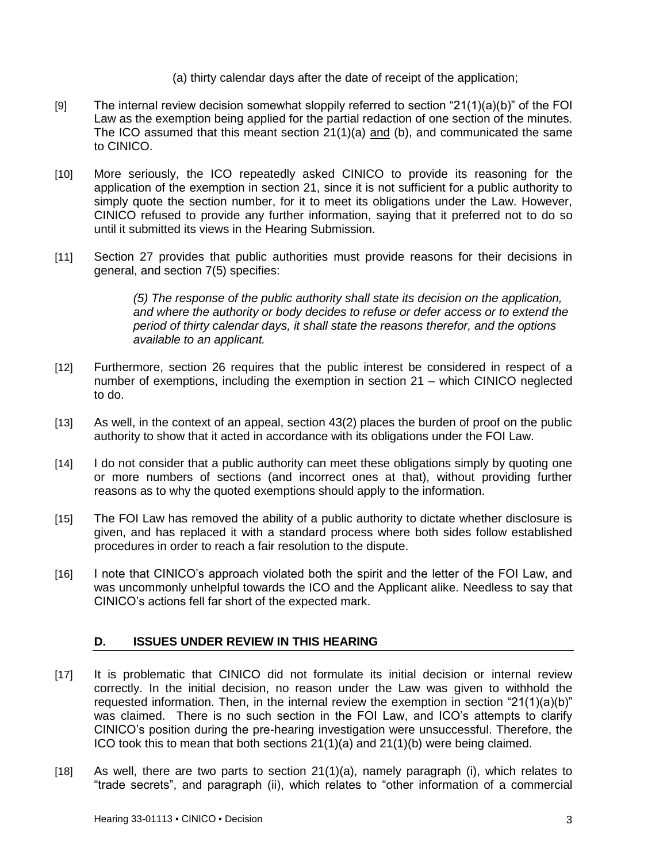(a) thirty calendar days after the date of receipt of the application;

- [9] The internal review decision somewhat sloppily referred to section " $21(1)(a)(b)$ " of the FOI Law as the exemption being applied for the partial redaction of one section of the minutes. The ICO assumed that this meant section 21(1)(a) and (b), and communicated the same to CINICO.
- [10] More seriously, the ICO repeatedly asked CINICO to provide its reasoning for the application of the exemption in section 21, since it is not sufficient for a public authority to simply quote the section number, for it to meet its obligations under the Law. However, CINICO refused to provide any further information, saying that it preferred not to do so until it submitted its views in the Hearing Submission.
- [11] Section 27 provides that public authorities must provide reasons for their decisions in general, and section 7(5) specifies:

*(5) The response of the public authority shall state its decision on the application, and where the authority or body decides to refuse or defer access or to extend the period of thirty calendar days, it shall state the reasons therefor, and the options available to an applicant.* 

- [12] Furthermore, section 26 requires that the public interest be considered in respect of a number of exemptions, including the exemption in section 21 – which CINICO neglected to do.
- [13] As well, in the context of an appeal, section 43(2) places the burden of proof on the public authority to show that it acted in accordance with its obligations under the FOI Law.
- [14] I do not consider that a public authority can meet these obligations simply by quoting one or more numbers of sections (and incorrect ones at that), without providing further reasons as to why the quoted exemptions should apply to the information.
- [15] The FOI Law has removed the ability of a public authority to dictate whether disclosure is given, and has replaced it with a standard process where both sides follow established procedures in order to reach a fair resolution to the dispute.
- [16] I note that CINICO's approach violated both the spirit and the letter of the FOI Law, and was uncommonly unhelpful towards the ICO and the Applicant alike. Needless to say that CINICO's actions fell far short of the expected mark.

# <span id="page-2-0"></span>**D. ISSUES UNDER REVIEW IN THIS HEARING**

- [17] It is problematic that CINICO did not formulate its initial decision or internal review correctly. In the initial decision, no reason under the Law was given to withhold the requested information. Then, in the internal review the exemption in section "21(1)(a)(b)" was claimed. There is no such section in the FOI Law, and ICO's attempts to clarify CINICO's position during the pre-hearing investigation were unsuccessful. Therefore, the ICO took this to mean that both sections 21(1)(a) and 21(1)(b) were being claimed.
- [18] As well, there are two parts to section 21(1)(a), namely paragraph (i), which relates to "trade secrets", and paragraph (ii), which relates to "other information of a commercial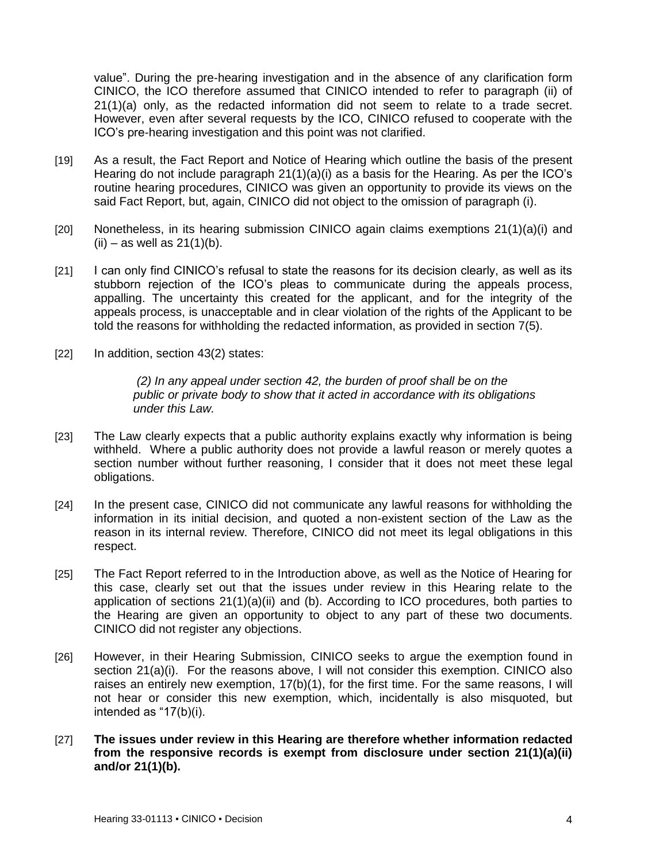value". During the pre-hearing investigation and in the absence of any clarification form CINICO, the ICO therefore assumed that CINICO intended to refer to paragraph (ii) of 21(1)(a) only, as the redacted information did not seem to relate to a trade secret. However, even after several requests by the ICO, CINICO refused to cooperate with the ICO's pre-hearing investigation and this point was not clarified.

- [19] As a result, the Fact Report and Notice of Hearing which outline the basis of the present Hearing do not include paragraph 21(1)(a)(i) as a basis for the Hearing. As per the ICO's routine hearing procedures, CINICO was given an opportunity to provide its views on the said Fact Report, but, again, CINICO did not object to the omission of paragraph (i).
- [20] Nonetheless, in its hearing submission CINICO again claims exemptions 21(1)(a)(i) and  $(ii)$  – as well as 21(1)(b).
- [21] I can only find CINICO's refusal to state the reasons for its decision clearly, as well as its stubborn rejection of the ICO's pleas to communicate during the appeals process, appalling. The uncertainty this created for the applicant, and for the integrity of the appeals process, is unacceptable and in clear violation of the rights of the Applicant to be told the reasons for withholding the redacted information, as provided in section 7(5).
- [22] In addition, section 43(2) states:

*(2) In any appeal under section 42, the burden of proof shall be on the public or private body to show that it acted in accordance with its obligations under this Law.*

- [23] The Law clearly expects that a public authority explains exactly why information is being withheld. Where a public authority does not provide a lawful reason or merely quotes a section number without further reasoning, I consider that it does not meet these legal obligations.
- [24] In the present case, CINICO did not communicate any lawful reasons for withholding the information in its initial decision, and quoted a non-existent section of the Law as the reason in its internal review. Therefore, CINICO did not meet its legal obligations in this respect.
- [25] The Fact Report referred to in the Introduction above, as well as the Notice of Hearing for this case, clearly set out that the issues under review in this Hearing relate to the application of sections  $21(1)(a)(ii)$  and (b). According to ICO procedures, both parties to the Hearing are given an opportunity to object to any part of these two documents. CINICO did not register any objections.
- [26] However, in their Hearing Submission, CINICO seeks to argue the exemption found in section 21(a)(i). For the reasons above, I will not consider this exemption. CINICO also raises an entirely new exemption, 17(b)(1), for the first time. For the same reasons, I will not hear or consider this new exemption, which, incidentally is also misquoted, but intended as "17(b)(i).
- [27] **The issues under review in this Hearing are therefore whether information redacted from the responsive records is exempt from disclosure under section 21(1)(a)(ii) and/or 21(1)(b).**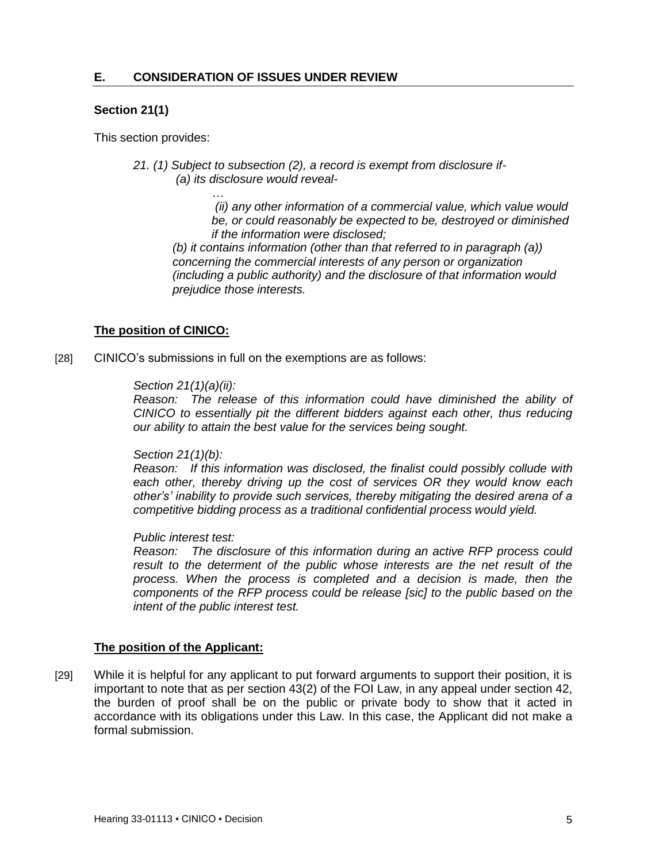*…*

### <span id="page-4-0"></span>**Section 21(1)**

This section provides:

*21. (1) Subject to subsection (2), a record is exempt from disclosure if- (a) its disclosure would reveal-*

> *(ii) any other information of a commercial value, which value would be, or could reasonably be expected to be, destroyed or diminished if the information were disclosed;*

*(b) it contains information (other than that referred to in paragraph (a)) concerning the commercial interests of any person or organization (including a public authority) and the disclosure of that information would prejudice those interests.*

## **The position of CINICO:**

[28] CINICO's submissions in full on the exemptions are as follows:

#### *Section 21(1)(a)(ii):*

*Reason: The release of this information could have diminished the ability of CINICO to essentially pit the different bidders against each other, thus reducing our ability to attain the best value for the services being sought.*

#### *Section 21(1)(b):*

*Reason: If this information was disclosed, the finalist could possibly collude with each other, thereby driving up the cost of services OR they would know each other's' inability to provide such services, thereby mitigating the desired arena of a competitive bidding process as a traditional confidential process would yield.*

#### *Public interest test:*

*Reason: The disclosure of this information during an active RFP process could*  result to the determent of the public whose interests are the net result of the *process. When the process is completed and a decision is made, then the components of the RFP process could be release [sic] to the public based on the intent of the public interest test.*

#### **The position of the Applicant:**

[29] While it is helpful for any applicant to put forward arguments to support their position, it is important to note that as per section 43(2) of the FOI Law, in any appeal under section 42, the burden of proof shall be on the public or private body to show that it acted in accordance with its obligations under this Law. In this case, the Applicant did not make a formal submission.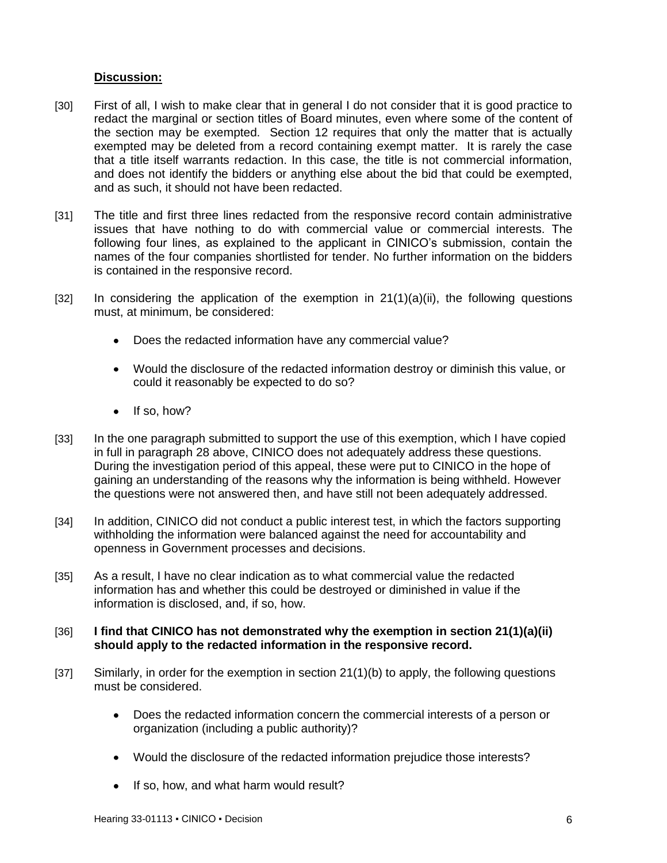## **Discussion:**

- [30] First of all, I wish to make clear that in general I do not consider that it is good practice to redact the marginal or section titles of Board minutes, even where some of the content of the section may be exempted. Section 12 requires that only the matter that is actually exempted may be deleted from a record containing exempt matter. It is rarely the case that a title itself warrants redaction. In this case, the title is not commercial information, and does not identify the bidders or anything else about the bid that could be exempted, and as such, it should not have been redacted.
- [31] The title and first three lines redacted from the responsive record contain administrative issues that have nothing to do with commercial value or commercial interests. The following four lines, as explained to the applicant in CINICO's submission, contain the names of the four companies shortlisted for tender. No further information on the bidders is contained in the responsive record.
- $[32]$  In considering the application of the exemption in  $21(1)(a)(ii)$ , the following questions must, at minimum, be considered:
	- Does the redacted information have any commercial value?  $\bullet$
	- Would the disclosure of the redacted information destroy or diminish this value, or could it reasonably be expected to do so?
	- $\bullet$ If so, how?
- [33] In the one paragraph submitted to support the use of this exemption, which I have copied in full in paragraph 28 above, CINICO does not adequately address these questions. During the investigation period of this appeal, these were put to CINICO in the hope of gaining an understanding of the reasons why the information is being withheld. However the questions were not answered then, and have still not been adequately addressed.
- [34] In addition, CINICO did not conduct a public interest test, in which the factors supporting withholding the information were balanced against the need for accountability and openness in Government processes and decisions.
- [35] As a result, I have no clear indication as to what commercial value the redacted information has and whether this could be destroyed or diminished in value if the information is disclosed, and, if so, how.

#### [36] **I find that CINICO has not demonstrated why the exemption in section 21(1)(a)(ii) should apply to the redacted information in the responsive record.**

- [37] Similarly, in order for the exemption in section 21(1)(b) to apply, the following questions must be considered.
	- Does the redacted information concern the commercial interests of a person or organization (including a public authority)?
	- Would the disclosure of the redacted information prejudice those interests?
	- If so, how, and what harm would result?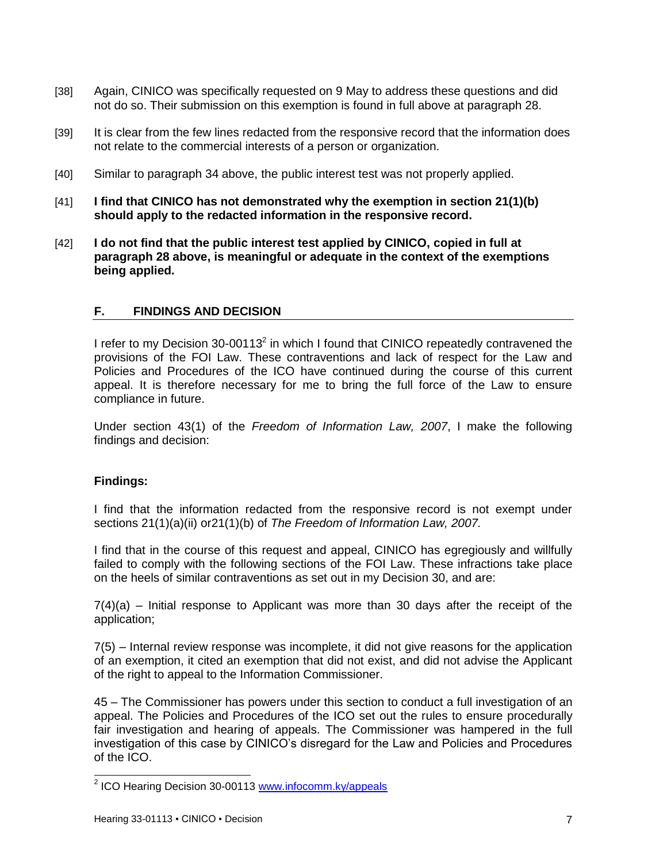- [38] Again, CINICO was specifically requested on 9 May to address these questions and did not do so. Their submission on this exemption is found in full above at paragraph 28.
- [39] It is clear from the few lines redacted from the responsive record that the information does not relate to the commercial interests of a person or organization.
- [40] Similar to paragraph 34 above, the public interest test was not properly applied.
- [41] **I find that CINICO has not demonstrated why the exemption in section 21(1)(b) should apply to the redacted information in the responsive record.**
- [42] **I do not find that the public interest test applied by CINICO, copied in full at paragraph 28 above, is meaningful or adequate in the context of the exemptions being applied.**

## <span id="page-6-0"></span>**F. FINDINGS AND DECISION**

I refer to my Decision 30-00113 $^2$  in which I found that CINICO repeatedly contravened the provisions of the FOI Law. These contraventions and lack of respect for the Law and Policies and Procedures of the ICO have continued during the course of this current appeal. It is therefore necessary for me to bring the full force of the Law to ensure compliance in future.

Under section 43(1) of the *Freedom of Information Law, 2007*, I make the following findings and decision:

#### **Findings:**

I find that the information redacted from the responsive record is not exempt under sections 21(1)(a)(ii) or21(1)(b) of *The Freedom of Information Law, 2007.*

I find that in the course of this request and appeal, CINICO has egregiously and willfully failed to comply with the following sections of the FOI Law. These infractions take place on the heels of similar contraventions as set out in my Decision 30, and are:

7(4)(a) – Initial response to Applicant was more than 30 days after the receipt of the application;

7(5) – Internal review response was incomplete, it did not give reasons for the application of an exemption, it cited an exemption that did not exist, and did not advise the Applicant of the right to appeal to the Information Commissioner.

45 – The Commissioner has powers under this section to conduct a full investigation of an appeal. The Policies and Procedures of the ICO set out the rules to ensure procedurally fair investigation and hearing of appeals. The Commissioner was hampered in the full investigation of this case by CINICO's disregard for the Law and Policies and Procedures of the ICO.

 2 ICO Hearing Decision 30-00113 [www.infocomm.ky/appeals](http://www.infocomm.ky/appeals)